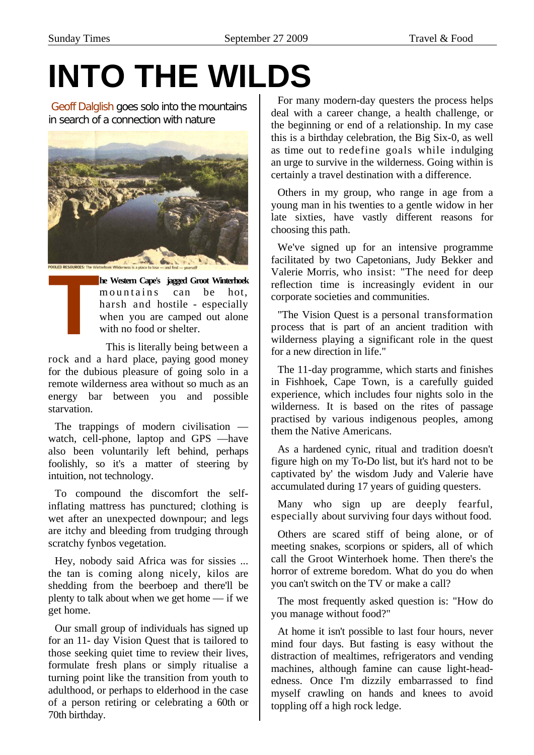# **INTO THE WILDS**

Geoff Dalglish goes solo into the mountains in search of a connection with nature



**he Western Cape's jagged Groot Winterhoek**  mountains can be hot, harsh and hostile - especially when you are camped out alone with no food or shelter. **POOLD RESOURCES:** The Winterhoek Wider<br> **THE WEST THE VERTURE SUPPLEM**<br>
THE WEST WHEN<br>
WHEN WITH I<br>
This

This is literally being between a rock and a hard place, paying good money for the dubious pleasure of going solo in a remote wilderness area without so much as an energy bar between you and possible starvation.

The trappings of modern civilisation watch, cell-phone, laptop and GPS —have also been voluntarily left behind, perhaps foolishly, so it's a matter of steering by intuition, not technology.

To compound the discomfort the selfinflating mattress has punctured; clothing is wet after an unexpected downpour; and legs are itchy and bleeding from trudging through scratchy fynbos vegetation.

Hey, nobody said Africa was for sissies ... the tan is coming along nicely, kilos are shedding from the beerboep and there'll be plenty to talk about when we get home — if we get home.

Our small group of individuals has signed up for an 11- day Vision Quest that is tailored to those seeking quiet time to review their lives, formulate fresh plans or simply ritualise a turning point like the transition from youth to adulthood, or perhaps to elderhood in the case of a person retiring or celebrating a 60th or 70th birthday.

For many modern-day questers the process helps deal with a career change, a health challenge, or the beginning or end of a relationship. In my case this is a birthday celebration, the Big Six-0, as well as time out to redefine goals while indulging an urge to survive in the wilderness. Going within is certainly a travel destination with a difference.

Others in my group, who range in age from a young man in his twenties to a gentle widow in her late sixties, have vastly different reasons for choosing this path.

We've signed up for an intensive programme facilitated by two Capetonians, Judy Bekker and Valerie Morris, who insist: "The need for deep reflection time is increasingly evident in our corporate societies and communities.

"The Vision Quest is a personal transformation process that is part of an ancient tradition with wilderness playing a significant role in the quest for a new direction in life."

The 11-day programme, which starts and finishes in Fishhoek, Cape Town, is a carefully guided experience, which includes four nights solo in the wilderness. It is based on the rites of passage practised by various indigenous peoples, among them the Native Americans.

As a hardened cynic, ritual and tradition doesn't figure high on my To-Do list, but it's hard not to be captivated by' the wisdom Judy and Valerie have accumulated during 17 years of guiding questers.

Many who sign up are deeply fearful, especially about surviving four days without food.

Others are scared stiff of being alone, or of meeting snakes, scorpions or spiders, all of which call the Groot Winterhoek home. Then there's the horror of extreme boredom. What do you do when you can't switch on the TV or make a call?

The most frequently asked question is: "How do you manage without food?"

At home it isn't possible to last four hours, never mind four days. But fasting is easy without the distraction of mealtimes, refrigerators and vending machines, although famine can cause light-headedness. Once I'm dizzily embarrassed to find myself crawling on hands and knees to avoid toppling off a high rock ledge.